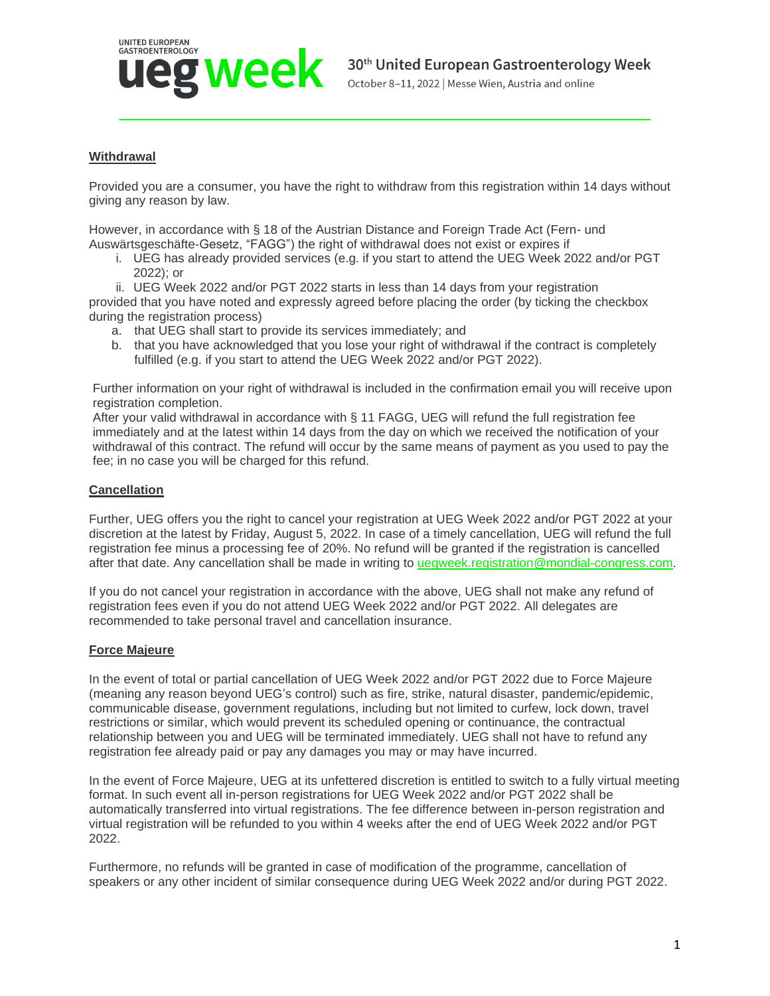

## **Withdrawal**

Provided you are a consumer, you have the right to withdraw from this registration within 14 days without giving any reason by law.

However, in accordance with § 18 of the Austrian Distance and Foreign Trade Act (Fern- und Auswärtsgeschäfte-Gesetz, "FAGG") the right of withdrawal does not exist or expires if

i. UEG has already provided services (e.g. if you start to attend the UEG Week 2022 and/or PGT 2022); or

ii. UEG Week 2022 and/or PGT 2022 starts in less than 14 days from your registration provided that you have noted and expressly agreed before placing the order (by ticking the checkbox during the registration process)

- a. that UEG shall start to provide its services immediately; and
- b. that you have acknowledged that you lose your right of withdrawal if the contract is completely fulfilled (e.g. if you start to attend the UEG Week 2022 and/or PGT 2022).

Further information on your right of withdrawal is included in the confirmation email you will receive upon registration completion.

After your valid withdrawal in accordance with § 11 FAGG, UEG will refund the full registration fee immediately and at the latest within 14 days from the day on which we received the notification of your withdrawal of this contract. The refund will occur by the same means of payment as you used to pay the fee; in no case you will be charged for this refund.

## **Cancellation**

Further, UEG offers you the right to cancel your registration at UEG Week 2022 and/or PGT 2022 at your discretion at the latest by Friday, August 5, 2022. In case of a timely cancellation, UEG will refund the full registration fee minus a processing fee of 20%. No refund will be granted if the registration is cancelled after that date. Any cancellation shall be made in writing to [uegweek.registration@mondial-congress.com.](mailto:uegweek.registration@mondial-congress.com)

If you do not cancel your registration in accordance with the above, UEG shall not make any refund of registration fees even if you do not attend UEG Week 2022 and/or PGT 2022. All delegates are recommended to take personal travel and cancellation insurance.

## **Force Majeure**

In the event of total or partial cancellation of UEG Week 2022 and/or PGT 2022 due to Force Majeure (meaning any reason beyond UEG's control) such as fire, strike, natural disaster, pandemic/epidemic, communicable disease, government regulations, including but not limited to curfew, lock down, travel restrictions or similar, which would prevent its scheduled opening or continuance, the contractual relationship between you and UEG will be terminated immediately. UEG shall not have to refund any registration fee already paid or pay any damages you may or may have incurred.

In the event of Force Majeure, UEG at its unfettered discretion is entitled to switch to a fully virtual meeting format. In such event all in-person registrations for UEG Week 2022 and/or PGT 2022 shall be automatically transferred into virtual registrations. The fee difference between in-person registration and virtual registration will be refunded to you within 4 weeks after the end of UEG Week 2022 and/or PGT 2022.

Furthermore, no refunds will be granted in case of modification of the programme, cancellation of speakers or any other incident of similar consequence during UEG Week 2022 and/or during PGT 2022.